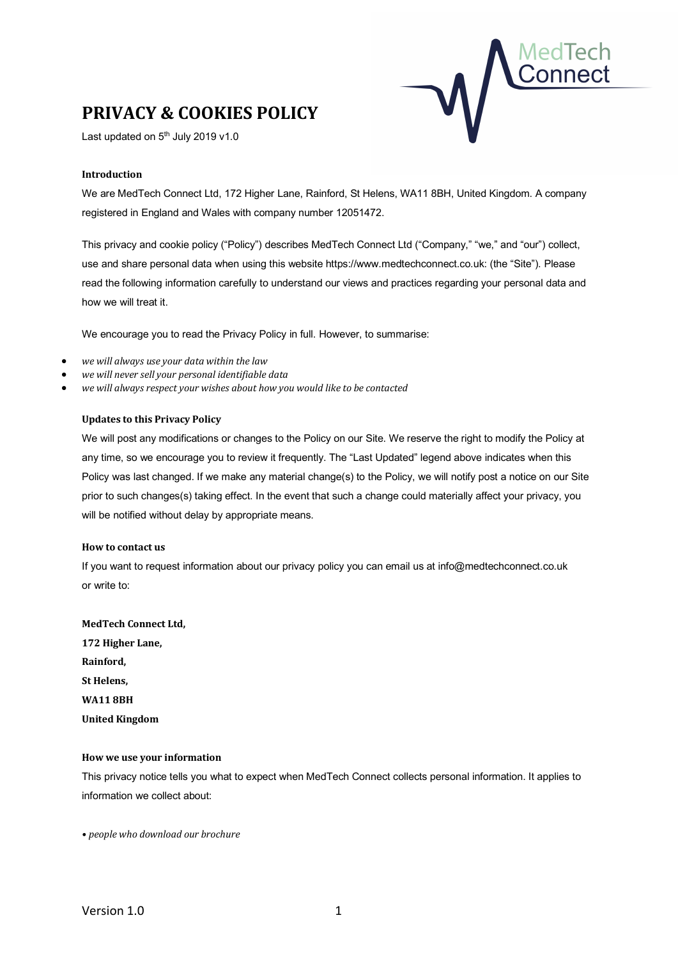# **PRIVACY & COOKIES POLICY**

Last updated on  $5<sup>th</sup>$  July 2019 v1.0



## **Introduction**

We are MedTech Connect Ltd, 172 Higher Lane, Rainford, St Helens, WA11 8BH, United Kingdom. A company registered in England and Wales with company number 12051472.

This privacy and cookie policy ("Policy") describes MedTech Connect Ltd ("Company," "we," and "our") collect, use and share personal data when using this website https://www.medtechconnect.co.uk: (the "Site"). Please read the following information carefully to understand our views and practices regarding your personal data and how we will treat it.

We encourage you to read the Privacy Policy in full. However, to summarise:

- *we will always use your data within the law*
- *we will never sell your personal identifiable data*
- *we will always respect your wishes about how you would like to be contacted*

## **Updates to this Privacy Policy**

We will post any modifications or changes to the Policy on our Site. We reserve the right to modify the Policy at any time, so we encourage you to review it frequently. The "Last Updated" legend above indicates when this Policy was last changed. If we make any material change(s) to the Policy, we will notify post a notice on our Site prior to such changes(s) taking effect. In the event that such a change could materially affect your privacy, you will be notified without delay by appropriate means.

## **How to contact us**

If you want to request information about our privacy policy you can email us at info@medtechconnect.co.uk or write to:

**MedTech Connect Ltd, 172 Higher Lane, Rainford, St Helens, WA11 8BH United Kingdom**

## **How we use your information**

This privacy notice tells you what to expect when MedTech Connect collects personal information. It applies to information we collect about:

*• people who download our brochure*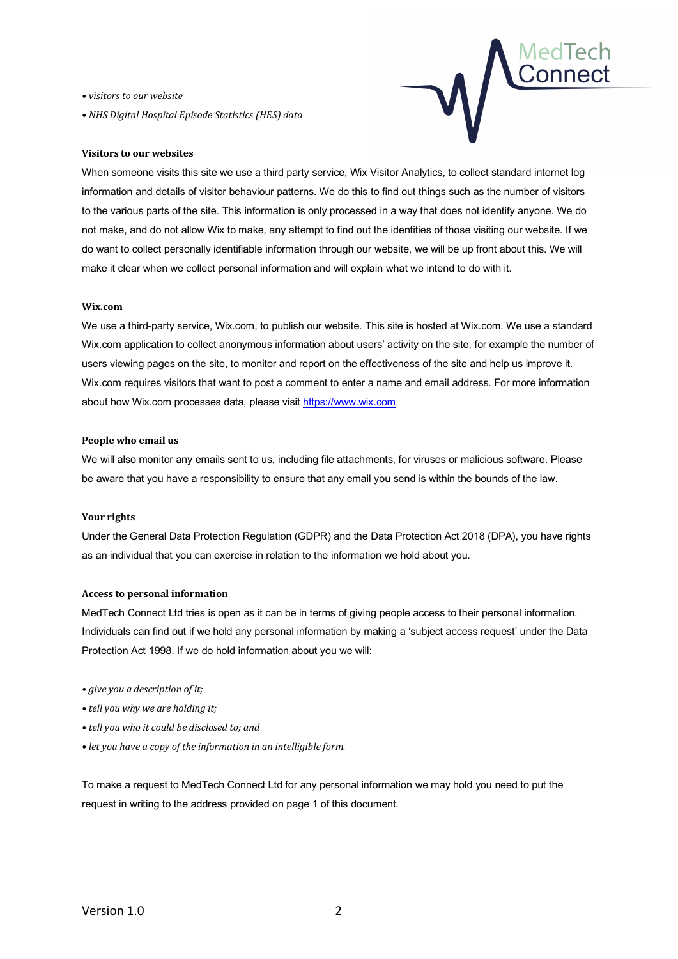*• visitors to our website*

*• NHS Digital Hospital Episode Statistics (HES) data*



## **Visitors to our websites**

When someone visits this site we use a third party service, Wix Visitor Analytics, to collect standard internet log information and details of visitor behaviour patterns. We do this to find out things such as the number of visitors to the various parts of the site. This information is only processed in a way that does not identify anyone. We do not make, and do not allow Wix to make, any attempt to find out the identities of those visiting our website. If we do want to collect personally identifiable information through our website, we will be up front about this. We will make it clear when we collect personal information and will explain what we intend to do with it.

## **Wix.com**

We use a third-party service, Wix.com, to publish our website. This site is hosted at Wix.com. We use a standard Wix.com application to collect anonymous information about users' activity on the site, for example the number of users viewing pages on the site, to monitor and report on the effectiveness of the site and help us improve it. Wix.com requires visitors that want to post a comment to enter a name and email address. For more information about how Wix.com processes data, please visit https://www.wix.com

## **People who email us**

We will also monitor any emails sent to us, including file attachments, for viruses or malicious software. Please be aware that you have a responsibility to ensure that any email you send is within the bounds of the law.

## **Your rights**

Under the General Data Protection Regulation (GDPR) and the Data Protection Act 2018 (DPA), you have rights as an individual that you can exercise in relation to the information we hold about you.

## **Access to personal information**

MedTech Connect Ltd tries is open as it can be in terms of giving people access to their personal information. Individuals can find out if we hold any personal information by making a 'subject access request' under the Data Protection Act 1998. If we do hold information about you we will:

- *• give you a description of it;*
- *• tell you why we are holding it;*
- *• tell you who it could be disclosed to; and*
- *• let you have a copy of the information in an intelligible form.*

To make a request to MedTech Connect Ltd for any personal information we may hold you need to put the request in writing to the address provided on page 1 of this document.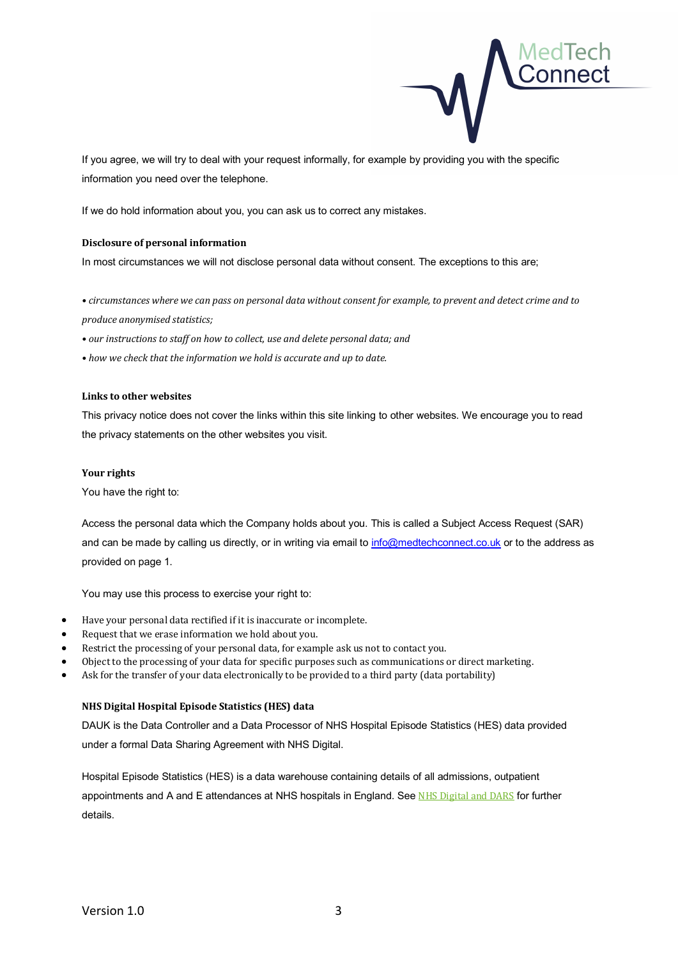

If you agree, we will try to deal with your request informally, for example by providing you with the specific information you need over the telephone.

If we do hold information about you, you can ask us to correct any mistakes.

## **Disclosure of personal information**

In most circumstances we will not disclose personal data without consent. The exceptions to this are;

• circumstances where we can pass on personal data without consent for example, to prevent and detect crime and to *produce anonymised statistics;*

*• our instructions to staff on how to collect, use and delete personal data; and*

*• how we check that the information we hold is accurate and up to date.*

## **Links to other websites**

This privacy notice does not cover the links within this site linking to other websites. We encourage you to read the privacy statements on the other websites you visit.

#### **Your rights**

You have the right to:

Access the personal data which the Company holds about you. This is called a Subject Access Request (SAR) and can be made by calling us directly, or in writing via email to info@medtechconnect.co.uk or to the address as provided on page 1.

You may use this process to exercise your right to:

- Have your personal data rectified if it is inaccurate or incomplete.
- Request that we erase information we hold about you.
- Restrict the processing of your personal data, for example ask us not to contact you.
- Object to the processing of your data for specific purposes such as communications or direct marketing.
- Ask for the transfer of your data electronically to be provided to a third party (data portability)

## **NHS Digital Hospital Episode Statistics (HES) data**

DAUK is the Data Controller and a Data Processor of NHS Hospital Episode Statistics (HES) data provided under a formal Data Sharing Agreement with NHS Digital.

Hospital Episode Statistics (HES) is a data warehouse containing details of all admissions, outpatient appointments and A and E attendances at NHS hospitals in England. See NHS Digital and DARS for further details.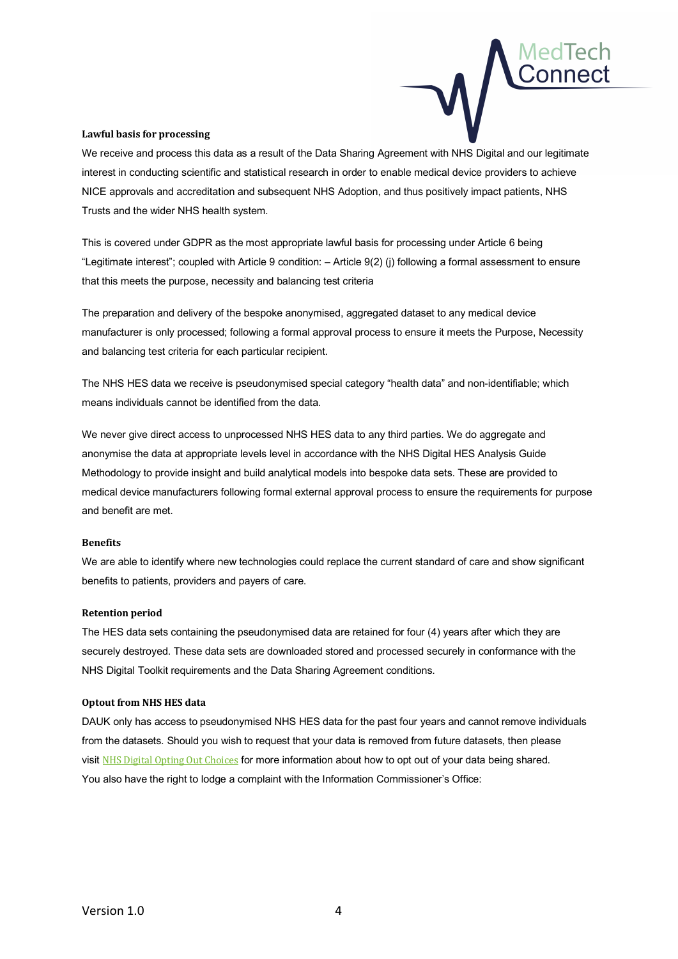

## **Lawful basis for processing**

We receive and process this data as a result of the Data Sharing Agreement with NHS Digital and our legitimate interest in conducting scientific and statistical research in order to enable medical device providers to achieve NICE approvals and accreditation and subsequent NHS Adoption, and thus positively impact patients, NHS Trusts and the wider NHS health system.

This is covered under GDPR as the most appropriate lawful basis for processing under Article 6 being "Legitimate interest"; coupled with Article 9 condition: – Article 9(2) (j) following a formal assessment to ensure that this meets the purpose, necessity and balancing test criteria

The preparation and delivery of the bespoke anonymised, aggregated dataset to any medical device manufacturer is only processed; following a formal approval process to ensure it meets the Purpose, Necessity and balancing test criteria for each particular recipient.

The NHS HES data we receive is pseudonymised special category "health data" and non-identifiable; which means individuals cannot be identified from the data.

We never give direct access to unprocessed NHS HES data to any third parties. We do aggregate and anonymise the data at appropriate levels level in accordance with the NHS Digital HES Analysis Guide Methodology to provide insight and build analytical models into bespoke data sets. These are provided to medical device manufacturers following formal external approval process to ensure the requirements for purpose and benefit are met.

## **Benefits**

We are able to identify where new technologies could replace the current standard of care and show significant benefits to patients, providers and payers of care.

## **Retention period**

The HES data sets containing the pseudonymised data are retained for four (4) years after which they are securely destroyed. These data sets are downloaded stored and processed securely in conformance with the NHS Digital Toolkit requirements and the Data Sharing Agreement conditions.

## **Optout from NHS HES data**

DAUK only has access to pseudonymised NHS HES data for the past four years and cannot remove individuals from the datasets. Should you wish to request that your data is removed from future datasets, then please visit NHS Digital Opting Out Choices for more information about how to opt out of your data being shared. You also have the right to lodge a complaint with the Information Commissioner's Office: